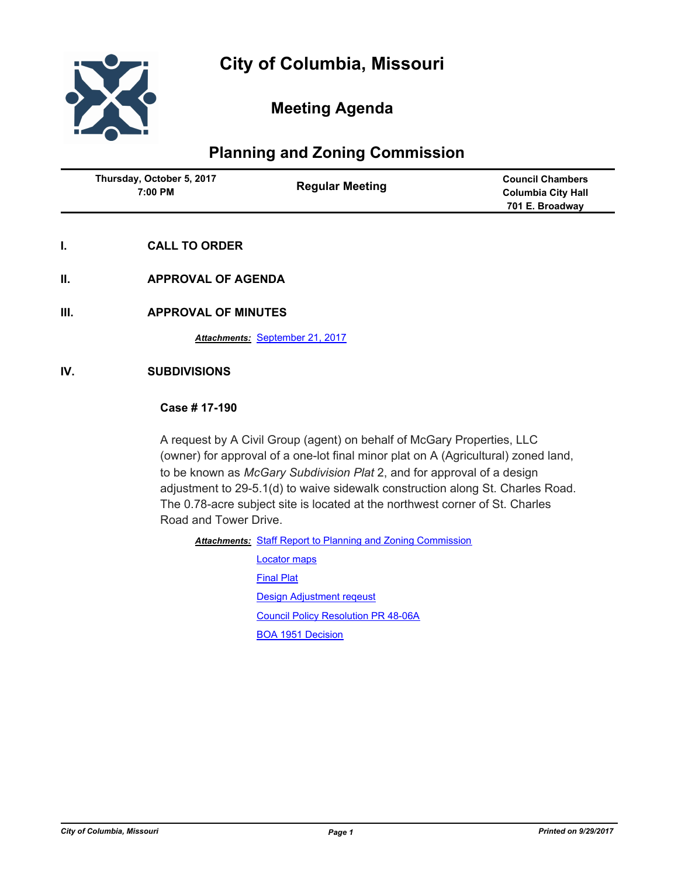

# **Meeting Agenda**

# **Planning and Zoning Commission**

| Thursday, October 5, 2017<br>7:00 PM | <b>Regular Meeting</b> | <b>Council Chambers</b><br><b>Columbia City Hall</b><br>701 E. Broadway |
|--------------------------------------|------------------------|-------------------------------------------------------------------------|
|                                      |                        |                                                                         |

- **I. CALL TO ORDER**
- **II. APPROVAL OF AGENDA**
- **III. APPROVAL OF MINUTES**

*Attachments:* [September 21, 2017](http://gocolumbiamo.legistar.com/gateway.aspx?M=F&ID=a48bc752-9ffa-42ee-8856-30d2a0732ef3.docx)

### **IV. SUBDIVISIONS**

## **Case # 17-190**

A request by A Civil Group (agent) on behalf of McGary Properties, LLC (owner) for approval of a one-lot final minor plat on A (Agricultural) zoned land, to be known as *McGary Subdivision Plat* 2, and for approval of a design adjustment to 29-5.1(d) to waive sidewalk construction along St. Charles Road. The 0.78-acre subject site is located at the northwest corner of St. Charles Road and Tower Drive.

Attachments: [Staff Report to Planning and Zoning Commission](http://gocolumbiamo.legistar.com/gateway.aspx?M=F&ID=d7a181c3-29f2-4c44-aa91-d8ced077ff26.docx)

[Locator maps](http://gocolumbiamo.legistar.com/gateway.aspx?M=F&ID=8f03b055-eba5-4813-b32c-703af93de9a4.pdf) [Final Plat](http://gocolumbiamo.legistar.com/gateway.aspx?M=F&ID=c3a3a612-2e4b-4421-82c4-7a6c512555b1.pdf) [Design Adjustment reqeust](http://gocolumbiamo.legistar.com/gateway.aspx?M=F&ID=13f1b93d-441a-48ac-aebf-3c54f219c8d7.pdf) [Council Policy Resolution PR 48-06A](http://gocolumbiamo.legistar.com/gateway.aspx?M=F&ID=b8a93f7e-10ec-4068-9675-07a1b106b2c0.pdf) [BOA 1951 Decision](http://gocolumbiamo.legistar.com/gateway.aspx?M=F&ID=3a83977a-ad91-4e7f-80d5-09d9595e4909.pdf)